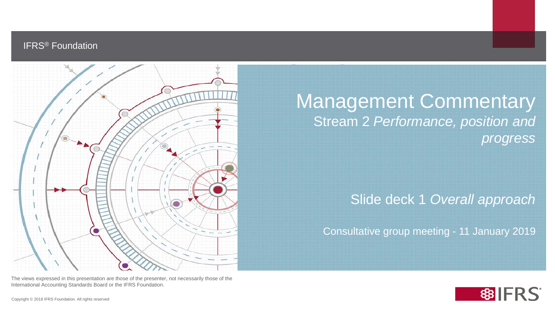## IFRS® Foundation



Management Commentary Stream 2 *Performance, position and progress*

Slide deck 1 *Overall approach*

Consultative group meeting - 11 January 2019

The views expressed in this presentation are those of the presenter, not necessarily those of the International Accounting Standards Board or the IFRS Foundation.

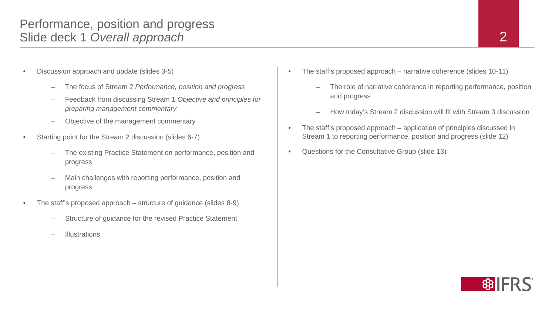- Discussion approach and update (slides 3-5)
	- The focus of Stream 2 *Performance, position and progress*
	- Feedback from discussing Stream 1 *Objective and principles for preparing management commentary*
	- Objective of the management commentary
- Starting point for the Stream 2 discussion (slides 6-7)
	- The existing Practice Statement on performance, position and progress
	- Main challenges with reporting performance, position and progress
- The staff's proposed approach structure of quidance (slides  $8-9$ )
	- Structure of guidance for the revised Practice Statement
	- **Illustrations**
- The staff's proposed approach narrative coherence (slides 10-11)
	- The role of narrative coherence in reporting performance, position and progress
	- How today's Stream 2 discussion will fit with Stream 3 discussion
- The staff's proposed approach application of principles discussed in Stream 1 to reporting performance, position and progress (slide 12)
- Questions for the Consultative Group (slide 13)

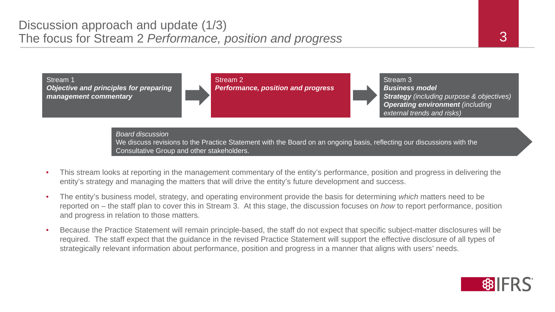

*Board discussion*

We discuss revisions to the Practice Statement with the Board on an ongoing basis, reflecting our discussions with the Consultative Group and other stakeholders.

- This stream looks at reporting in the management commentary of the entity's performance, position and progress in delivering the entity's strategy and managing the matters that will drive the entity's future development and success.
- The entity's business model, strategy, and operating environment provide the basis for determining *which* matters need to be reported on – the staff plan to cover this in Stream 3. At this stage, the discussion focuses on *how* to report performance, position and progress in relation to those matters.
- Because the Practice Statement will remain principle-based, the staff do not expect that specific subject-matter disclosures will be required. The staff expect that the guidance in the revised Practice Statement will support the effective disclosure of all types of strategically relevant information about performance, position and progress in a manner that aligns with users' needs.

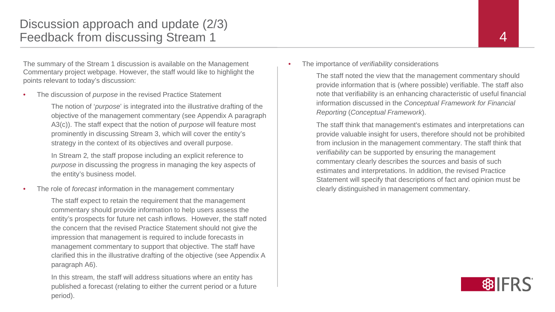The summary of the Stream 1 discussion is available on the Management Commentary project webpage. However, the staff would like to highlight the points relevant to today's discussion:

• The discussion of *purpose* in the revised Practice Statement

The notion of '*purpose*' is integrated into the illustrative drafting of the objective of the management commentary (see Appendix A paragraph A3(c)). The staff expect that the notion of *purpose* will feature most prominently in discussing Stream 3, which will cover the entity's strategy in the context of its objectives and overall purpose.

In Stream 2*,* the staff propose including an explicit reference to *purpose* in discussing the progress in managing the key aspects of the entity's business model.

• The role of *forecast* information in the management commentary

The staff expect to retain the requirement that the management commentary should provide information to help users assess the entity's prospects for future net cash inflows. However, the staff noted the concern that the revised Practice Statement should not give the impression that management is required to include forecasts in management commentary to support that objective. The staff have clarified this in the illustrative drafting of the objective (see Appendix A paragraph A6).

In this stream, the staff will address situations where an entity has published a forecast (relating to either the current period or a future period).

#### • The importance of *verifiability* considerations

The staff noted the view that the management commentary should provide information that is (where possible) verifiable. The staff also note that verifiability is an enhancing characteristic of useful financial information discussed in the *Conceptual Framework for Financial Reporting* (*Conceptual Framework*).

The staff think that management's estimates and interpretations can provide valuable insight for users, therefore should not be prohibited from inclusion in the management commentary. The staff think that *verifiability* can be supported by ensuring the management commentary clearly describes the sources and basis of such estimates and interpretations. In addition, the revised Practice Statement will specify that descriptions of fact and opinion must be clearly distinguished in management commentary.

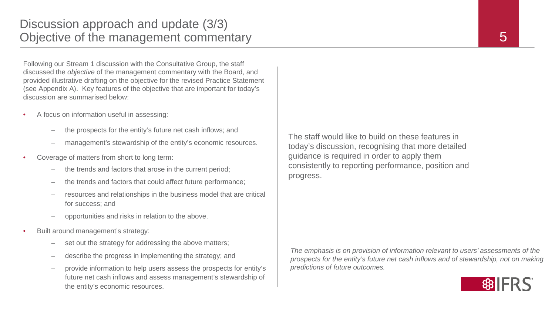Following our Stream 1 discussion with the Consultative Group, the staff discussed the *objective* of the management commentary with the Board, and provided illustrative drafting on the objective for the revised Practice Statement (see Appendix A). Key features of the objective that are important for today's discussion are summarised below:

- A focus on information useful in assessing:
	- the prospects for the entity's future net cash inflows; and
	- management's stewardship of the entity's economic resources.
- Coverage of matters from short to long term:
	- the trends and factors that arose in the current period;
	- the trends and factors that could affect future performance;
	- resources and relationships in the business model that are critical for success; and
	- opportunities and risks in relation to the above.
- Built around management's strategy:
	- set out the strategy for addressing the above matters;
	- describe the progress in implementing the strategy; and
	- provide information to help users assess the prospects for entity's future net cash inflows and assess management's stewardship of the entity's economic resources.

The staff would like to build on these features in today's discussion, recognising that more detailed guidance is required in order to apply them consistently to reporting performance, position and progress.

*The emphasis is on provision of information relevant to users' assessments of the prospects for the entity's future net cash inflows and of stewardship, not on making predictions of future outcomes.*

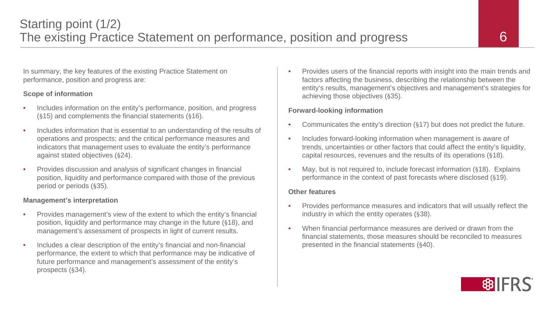In summary, the key features of the existing Practice Statement on performance, position and progress are:

#### **Scope of information**

- Includes information on the entity's performance, position, and progress (§15) and complements the financial statements (§16).
- Includes information that is essential to an understanding of the results of operations and prospects; and the critical performance measures and indicators that management uses to evaluate the entity's performance against stated objectives (§24).
- Provides discussion and analysis of significant changes in financial position, liquidity and performance compared with those of the previous period or periods (§35).

#### **Management's interpretation**

- Provides management's view of the extent to which the entity's financial position, liquidity and performance may change in the future (§18), and management's assessment of prospects in light of current results.
- Includes a clear description of the entity's financial and non-financial performance, the extent to which that performance may be indicative of future performance and management's assessment of the entity's prospects (§34).

• Provides users of the financial reports with insight into the main trends and factors affecting the business, describing the relationship between the entity's results, management's objectives and management's strategies for achieving those objectives (§35).

#### **Forward-looking information**

- Communicates the entity's direction (§17) but does not predict the future.
- Includes forward-looking information when management is aware of trends, uncertainties or other factors that could affect the entity's liquidity, capital resources, revenues and the results of its operations (§18).
- May, but is not required to, include forecast information (§18). Explains performance in the context of past forecasts where disclosed (§19).

#### **Other features**

- Provides performance measures and indicators that will usually reflect the industry in which the entity operates (§38).
- When financial performance measures are derived or drawn from the financial statements, those measures should be reconciled to measures presented in the financial statements (§40).

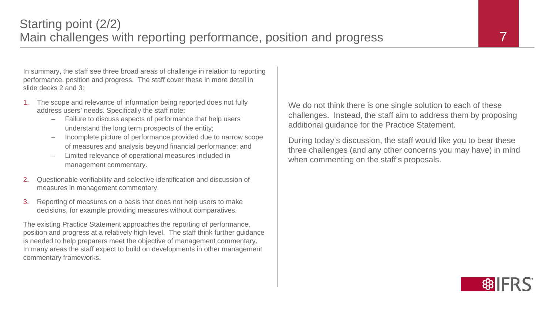In summary, the staff see three broad areas of challenge in relation to reporting performance, position and progress. The staff cover these in more detail in slide decks 2 and 3:

- 1. The scope and relevance of information being reported does not fully address users' needs. Specifically the staff note:
	- Failure to discuss aspects of performance that help users understand the long term prospects of the entity;
	- Incomplete picture of performance provided due to narrow scope of measures and analysis beyond financial performance; and
	- Limited relevance of operational measures included in management commentary.
- 2. Questionable verifiability and selective identification and discussion of measures in management commentary.
- 3. Reporting of measures on a basis that does not help users to make decisions, for example providing measures without comparatives.

The existing Practice Statement approaches the reporting of performance, position and progress at a relatively high level. The staff think further guidance is needed to help preparers meet the objective of management commentary. In many areas the staff expect to build on developments in other management commentary frameworks.

We do not think there is one single solution to each of these challenges. Instead, the staff aim to address them by proposing additional guidance for the Practice Statement.

During today's discussion, the staff would like you to bear these three challenges (and any other concerns you may have) in mind when commenting on the staff's proposals.

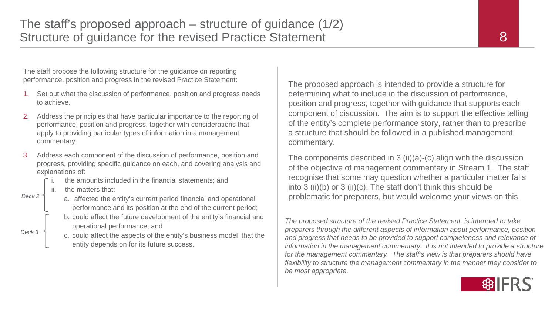The staff propose the following structure for the guidance on reporting performance, position and progress in the revised Practice Statement:

- 1. Set out what the discussion of performance, position and progress needs to achieve.
- 2. Address the principles that have particular importance to the reporting of performance, position and progress, together with considerations that apply to providing particular types of information in a management commentary.
- 3. Address each component of the discussion of performance, position and progress, providing specific guidance on each, and covering analysis and explanations of:
	- the amounts included in the financial statements; and
	- the matters that:



*Deck 3*

- a. affected the entity's current period financial and operational performance and its position at the end of the current period;
- b. could affect the future development of the entity's financial and operational performance; and
- c. could affect the aspects of the entity's business model that the entity depends on for its future success.

The proposed approach is intended to provide a structure for determining what to include in the discussion of performance, position and progress, together with guidance that supports each component of discussion. The aim is to support the effective telling of the entity's complete performance story, rather than to prescribe a structure that should be followed in a published management commentary.

The components described in 3 (ii)(a)-(c) align with the discussion of the objective of management commentary in Stream 1. The staff recognise that some may question whether a particular matter falls into 3 (ii)(b) or 3 (ii)(c). The staff don't think this should be  $P_{\text{eck2}}$  a affected the entity's current period financial and operational problematic for preparers, but would welcome your views on this.

> *The proposed structure of the revised Practice Statement is intended to take preparers through the different aspects of information about performance, position and progress that needs to be provided to support completeness and relevance of information in the management commentary.* It is not intended to provide a structure *for the management commentary. The staff's view is that preparers should have flexibility to structure the management commentary in the manner they consider to be most appropriate.*

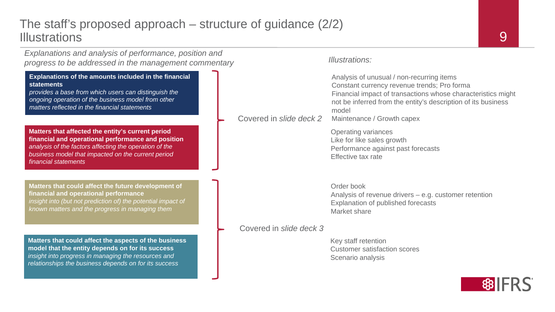## The staff's proposed approach – structure of guidance (2/2) **Illustrations**

*Explanations and analysis of performance, position and progress to be addressed in the management commentary Illustrations:*

#### **Explanations of the amounts included in the financial statements**

*provides a base from which users can distinguish the ongoing operation of the business model from other matters reflected in the financial statements*

**Matters that affected the entity's current period financial and operational performance and position** *analysis of the factors affecting the operation of the business model that impacted on the current period financial statements*

**Matters that could affect the future development of financial and operational performance** insight into (but not prediction of) the potential impact of *known matters and the progress in managing them*

**Matters that could affect the aspects of the business model that the entity depends on for its success** *insight into progress in managing the resources and relationships the business depends on for its success*

Analysis of unusual / non-recurring items Constant currency revenue trends; Pro forma Financial impact of transactions whose characteristics might not be inferred from the entity's description of its business model Maintenance / Growth capex Operating variances Like for like sales growth Performance against past forecasts Effective tax rate Order book Analysis of revenue drivers – e.g. customer retention Explanation of published forecasts Market share Covered in *slide deck 2*

### Covered in *slide deck 3*

Key staff retention Customer satisfaction scores Scenario analysis

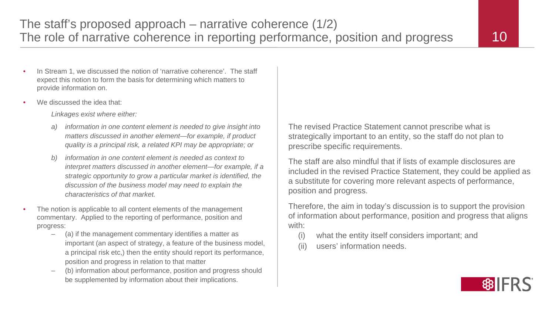- In Stream 1, we discussed the notion of 'narrative coherence'. The staff expect this notion to form the basis for determining which matters to provide information on.
- We discussed the idea that:

*Linkages exist where either:*

- *a) information in one content element is needed to give insight into matters discussed in another element—for example, if product quality is a principal risk, a related KPI may be appropriate; or*
- *b) information in one content element is needed as context to interpret matters discussed in another element—for example, if a strategic opportunity to grow a particular market is identified, the discussion of the business model may need to explain the characteristics of that market.*
- The notion is applicable to all content elements of the management commentary. Applied to the reporting of performance, position and progress:
	- (a) if the management commentary identifies a matter as important (an aspect of strategy, a feature of the business model, a principal risk etc,) then the entity should report its performance, position and progress in relation to that matter
	- (b) information about performance, position and progress should be supplemented by information about their implications.

The revised Practice Statement cannot prescribe what is strategically important to an entity, so the staff do not plan to prescribe specific requirements.

The staff are also mindful that if lists of example disclosures are included in the revised Practice Statement, they could be applied as a substitute for covering more relevant aspects of performance, position and progress.

Therefore, the aim in today's discussion is to support the provision of information about performance, position and progress that aligns with:

- (i) what the entity itself considers important; and
- (ii) users' information needs.

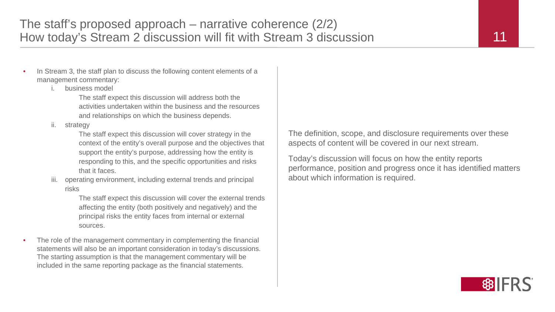- In Stream 3, the staff plan to discuss the following content elements of a management commentary:
	- i. business model

The staff expect this discussion will address both the activities undertaken within the business and the resources and relationships on which the business depends.

ii. strategy

The staff expect this discussion will cover strategy in the context of the entity's overall purpose and the objectives that support the entity's purpose, addressing how the entity is responding to this, and the specific opportunities and risks that it faces.

iii. operating environment, including external trends and principal risks

> The staff expect this discussion will cover the external trends affecting the entity (both positively and negatively) and the principal risks the entity faces from internal or external sources.

The role of the management commentary in complementing the financial statements will also be an important consideration in today's discussions. The starting assumption is that the management commentary will be included in the same reporting package as the financial statements.

The definition, scope, and disclosure requirements over these aspects of content will be covered in our next stream.

Today's discussion will focus on how the entity reports performance, position and progress once it has identified matters about which information is required.

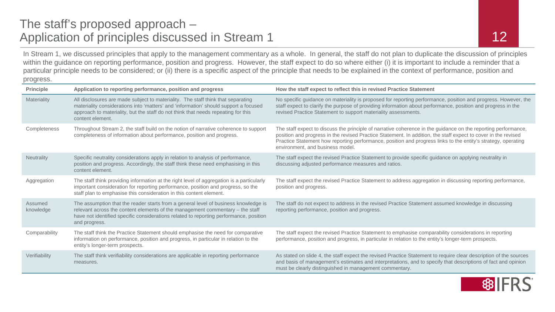# The staff's proposed approach – Application of principles discussed in Stream 1

In Stream 1, we discussed principles that apply to the management commentary as a whole. In general, the staff do not plan to duplicate the discussion of principles within the guidance on reporting performance, position and progress. However, the staff expect to do so where either (i) it is important to include a reminder that a particular principle needs to be considered; or (ii) there is a specific aspect of the principle that needs to be explained in the context of performance, position and progress.

| <b>Principle</b>     | Application to reporting performance, position and progress                                                                                                                                                                                                                       | How the staff expect to reflect this in revised Practice Statement                                                                                                                                                                                                                                                                                                                    |
|----------------------|-----------------------------------------------------------------------------------------------------------------------------------------------------------------------------------------------------------------------------------------------------------------------------------|---------------------------------------------------------------------------------------------------------------------------------------------------------------------------------------------------------------------------------------------------------------------------------------------------------------------------------------------------------------------------------------|
| Materiality          | All disclosures are made subject to materiality. The staff think that separating<br>materiality considerations into 'matters' and 'information' should support a focused<br>approach to materiality, but the staff do not think that needs repeating for this<br>content element. | No specific guidance on materiality is proposed for reporting performance, position and progress. However, the<br>staff expect to clarify the purpose of providing information about performance, position and progress in the<br>revised Practice Statement to support materiality assessments.                                                                                      |
| Completeness         | Throughout Stream 2, the staff build on the notion of narrative coherence to support<br>completeness of information about performance, position and progress.                                                                                                                     | The staff expect to discuss the principle of narrative coherence in the guidance on the reporting performance,<br>position and progress in the revised Practice Statement. In addition, the staff expect to cover in the revised<br>Practice Statement how reporting performance, position and progress links to the entity's strategy, operating<br>environment, and business model. |
| Neutrality           | Specific neutrality considerations apply in relation to analysis of performance,<br>position and progress. Accordingly, the staff think these need emphasising in this<br>content element.                                                                                        | The staff expect the revised Practice Statement to provide specific guidance on applying neutrality in<br>discussing adjusted performance measures and ratios.                                                                                                                                                                                                                        |
| Aggregation          | The staff think providing information at the right level of aggregation is a particularly<br>important consideration for reporting performance, position and progress, so the<br>staff plan to emphasise this consideration in this content element.                              | The staff expect the revised Practice Statement to address aggregation in discussing reporting performance,<br>position and progress.                                                                                                                                                                                                                                                 |
| Assumed<br>knowledge | The assumption that the reader starts from a general level of business knowledge is<br>relevant across the content elements of the management commentary - the staff<br>have not identified specific considerations related to reporting performance, position<br>and progress.   | The staff do not expect to address in the revised Practice Statement assumed knowledge in discussing<br>reporting performance, position and progress.                                                                                                                                                                                                                                 |
| Comparability        | The staff think the Practice Statement should emphasise the need for comparative<br>information on performance, position and progress, in particular in relation to the<br>entity's longer-term prospects.                                                                        | The staff expect the revised Practice Statement to emphasise comparability considerations in reporting<br>performance, position and progress, in particular in relation to the entity's longer-term prospects.                                                                                                                                                                        |
| Verifiability        | The staff think verifiability considerations are applicable in reporting performance<br>measures.                                                                                                                                                                                 | As stated on slide 4, the staff expect the revised Practice Statement to require clear description of the sources<br>and basis of management's estimates and interpretations, and to specify that descriptions of fact and opinion<br>must be clearly distinguished in management commentary.                                                                                         |

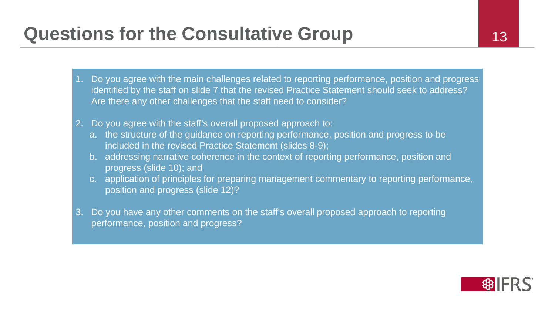# **Questions for the Consultative Group 13**

- 1. Do you agree with the main challenges related to reporting performance, position and progress identified by the staff on slide 7 that the revised Practice Statement should seek to address? Are there any other challenges that the staff need to consider?
- 2. Do you agree with the staff's overall proposed approach to:
	- a. the structure of the guidance on reporting performance, position and progress to be included in the revised Practice Statement (slides 8-9);
	- b. addressing narrative coherence in the context of reporting performance, position and progress (slide 10); and
	- c. application of principles for preparing management commentary to reporting performance, position and progress (slide 12)?
- 3. Do you have any other comments on the staff's overall proposed approach to reporting performance, position and progress?

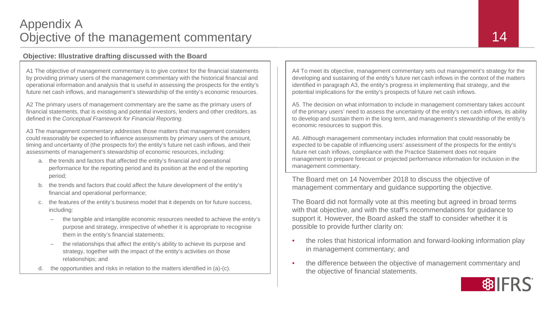### **Objective: Illustrative drafting discussed with the Board**

A1 The objective of management commentary is to give context for the financial statements by providing primary users of the management commentary with the historical financial and operational information and analysis that is useful in assessing the prospects for the entity's future net cash inflows, and management's stewardship of the entity's economic resources.

A2 The primary users of management commentary are the same as the primary users of financial statements, that is existing and potential investors, lenders and other creditors, as defined in the *Conceptual Framework for Financial Reporting*.

A3 The management commentary addresses those matters that management considers could reasonably be expected to influence assessments by primary users of the amount, timing and uncertainty of (the prospects for) the entity's future net cash inflows, and their assessments of management's stewardship of economic resources, including:

- a. the trends and factors that affected the entity's financial and operational performance for the reporting period and its position at the end of the reporting period;
- b. the trends and factors that could affect the future development of the entity's financial and operational performance;
- c. the features of the entity's business model that it depends on for future success, including:
	- the tangible and intangible economic resources needed to achieve the entity's purpose and strategy, irrespective of whether it is appropriate to recognise them in the entity's financial statements;
	- the relationships that affect the entity's ability to achieve its purpose and strategy, together with the impact of the entity's activities on those relationships; and
- d. the opportunities and risks in relation to the matters identified in (a)-(c).

A4 To meet its objective, management commentary sets out management's strategy for the developing and sustaining of the entity's future net cash inflows in the context of the matters identified in paragraph A3, the entity's progress in implementing that strategy, and the potential implications for the entity's prospects of future net cash inflows.

A5. The decision on what information to include in management commentary takes account of the primary users' need to assess the uncertainty of the entity's net cash inflows, its ability to develop and sustain them in the long term, and management's stewardship of the entity's economic resources to support this.

A6. Although management commentary includes information that could reasonably be expected to be capable of influencing users' assessment of the prospects for the entity's future net cash inflows, compliance with the Practice Statement does not require management to prepare forecast or projected performance information for inclusion in the management commentary.

The Board met on 14 November 2018 to discuss the objective of management commentary and guidance supporting the objective.

The Board did not formally vote at this meeting but agreed in broad terms with that objective, and with the staff's recommendations for guidance to support it. However, the Board asked the staff to consider whether it is possible to provide further clarity on:

- the roles that historical information and forward-looking information play in management commentary; and
- the difference between the objective of management commentary and the objective of financial statements.